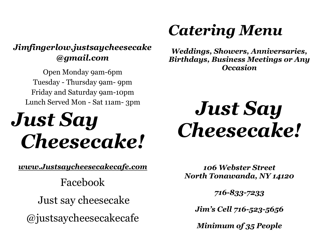## *Jimfingerlow.justsaycheesecake @gmail.com*

Open Monday 9am-6pm Tuesday - Thursday 9am- 9pm Friday and Saturday 9am-10pm Lunch Served Mon - Sat 11am- 3pm

# *Just Say Cheesecake!*

*[www.Justs](http://www.just/)aycheesecakecafe.com*

Facebook Just say cheesecake @justsaycheesecakecafe

## *Catering Menu*

*Weddings, Showers, Anniversaries, Birthdays, Business Meetings or Any Occasion*

# *Just Say Cheesecake!*

*106 Webster Street North Tonawanda, NY 14120*

*716-833-7233*

*Jim's Cell 716-523-5656*

*Minimum of 35 People*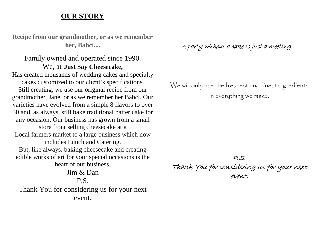#### **OUR STORY**

**Recipe from our grandmother, or as we remember her, Babci....**

Family owned and operated since 1990. We, at **Just Say Cheesecake,** Has created thousands of wedding cakes and specialty cakes customized to our client's specifications. Still creating, we use our original recipe from our grandmother, Jane, or as we remember her Babci. Our varieties have evolved from a simple 8 flavors to over 50 and, as always, still bake traditional batter cake for any occasion. Our business has grown from a small store front selling cheesecake at a Local farmers market to a large business which now includes Lunch and Catering. But, like always, baking cheesecake and creating edible works of art for your special occasions is the heart of our business. Jim & Dan P.S. Thank You for considering us for your next event.

A party without a cake is just a meeting….

We will only use the freshest and finest ingredients in everything we make.

P.S. Thank You for considering us for your next event.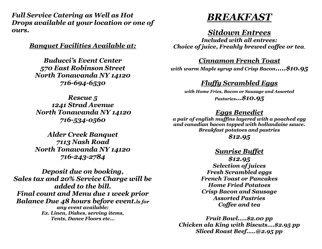*Full Service Catering as Well as Hot Drops available at your location or one of ours.*

*Banquet Facilities Available at:*

*Buducci's Event Center 570 East Robinson Street North Tonawanda NY 14120 716-694-6530*

*Rescue 5 1241 Strad Avenue North Tonawanda NY 14120 716-534-0560*

*Alder Creek Banquet 7113 Nash Road North Tonawanda NY 14120 716-243-2784*

*Deposit due on booking, Sales tax and 20% Service Charge will be added to the bill. Final count and Menu due 1 week prior Balance Due 48 hours before event.ls for any event available: Ex. Linen, Dishes, serving items, Tents, Dance Floors etc…*



#### *Sitdown Entrees*

*Included with all entrees: Choice of juice, Freahly brewed coffee or tea.*

*Cinnamon French Toast*

*with warm Maple syrup and Crisp Bacon…..\$10.95*

#### *Fluffy Scrambled Eggs*

*with Home Fries, Bacon or Sausage and Assorted Pastaries…\$10.95*

#### *Eggs Benedict*

*a pair of english muffins layered with a poached egg and canadian bacon topped with hollandaise sauce. Breakfast potatoes and pastries*

*\$12.95*

#### *Sunrise Buffet*

*\$12.95 Selection of juices Fresh Scrambled eggs French Toast or Pancakes Home Fried Potatoes Crisp Bacon and Sausage Assorted Pastries Coffee and tea*

*Fruit Bowl…..\$2.00 pp Chicken ala King with Biscuts….\$2.95 pp Sliced Roast Beef…..@2.95 pp*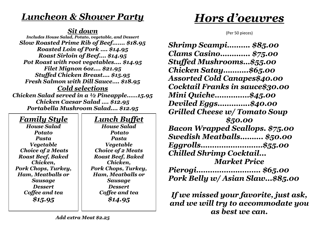## *Luncheon & Shower Party*

#### *Sit down*

*Includes House Salad, Potato, vegetable, and Dessert Slow Roasted Prime Rib of Beef……. \$18.95 Roasted Loin of Pork …. \$14.95 Roast Sirloin of Beef…. \$14.95 Pot Roast with root vegetables…. \$14.95 Filet Mignon 6oz…. \$21.95 Stuffed Chicken Breast…. \$15.95 Fresh Salmon with Dill Sauce…. \$18.95 Cold selections*

*Chicken Salad served in a ½ Pineapple……15.95 Chicken Caesar Salad …. \$12.95 Portabella Mushroom Salad…. \$12.95*

## *Family Style*

*House Salad Potato Pasta Vegetable Choice of 2 Meats Roast Beef, Baked Chicken, Pork Chops, Turkey, Ham, Meatballs or Sausage Dessert Coffee and tea \$15.95*

## *Lunch Buffet*

*House Salad Potato Pasta Vegetable Choice of 2 Meats Roast Beef, Baked Chicken, Pork Chops, Turkey, Ham, Meatballs or Sausage Dessert Coffee and tea \$14.95*

## *Hors d'oeuvres*

(Per 50 pieces)

*Shrimp Scampi………. \$85.00 Clams Casino…………. \$75.00 Stuffed Mushrooms…\$55.00 Chicken Satay………..\$65.00 Assorted Cold Canapes\$40.00 Cocktail Franks in sauce\$30.00 Mini Quiche……………\$45.00 Deviled Eggs…………..\$40.00 Grilled Cheese w/ Tomato Soup \$50.00 Bacon Wrapped Scallops. \$75.00 Swedish Meatballs………. \$50.00 Eggrolls………………………\$55.00 Chilled Shrimp Cocktail... Market Price Pierogi………………………. \$65.00 Pork Belly w/ Asian Slaw...\$85.00*

*If we missed your favorite, just ask, and we will try to accommodate you as best we can.*

*Add extra Meat \$2.25*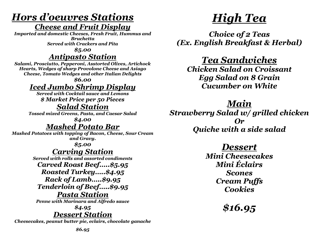## *Hors d'oeuvres Stations*

#### *Cheese and Fruit Display*

*Imported and domestic Cheeses, Fresh Fruit, Hummus and Bruchetta Served with Crackers and Pita*

*\$5.00*

### *Antipasto Station*

*Salami, Prosciutto, Pepperoni, Asstorted Olives, Artichock Hearts, Wedges of sharp Provolone Cheese and Asiago Cheese, Tomato Wedges and other Italian Delights*

*\$6.00*

## *Iced Jumbo Shrimp Display*

*Served with Cocktail sauce and Lemons \$ Market Price per 50 Pieces*

### *Salad Station*

*Tossed mixed Greens, Pasta, and Caesar Salad*

*\$4.00*

## *Mashed Potato Bar*

*Mashed Potatoes with topping of Bacon, Cheese, Sour Cream and Gravy.*

*\$5.00* 

## *Carving Station*

*Served with rolls and assorted condiments Carved Roast Beef…..\$5.95 Roasted Turkey…..\$4.95 Rack of Lamb…..\$9.95 Tenderloin of Beef…..\$9.95*

*Pasta Station Penne with Marinara and Alfredo sauce*

*\$4.95*

## *Dessert Station*

*Cheesecakes, peanut butter pie, eclairs, chocolate ganache*

## *High Tea*

*Choice of 2 Teas (Ex. English Breakfast & Herbal)*

*Tea Sandwiches*

*Chicken Salad on Croissant Egg Salad on 8 Grain Cucumber on White*

*Main*

*Strawberry Salad w/ grilled chicken Or Quiche with a side salad*

*Dessert*

*Mini Cheesecakes Mini Éclairs Scones Cream Puffs Cookies*

*\$16.95*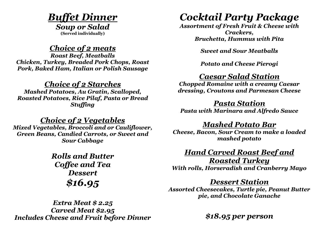## *Buffet Dinner*

*Soup or Salad* **(Served individually)**

### *Choice of 2 meats*

*Roast Beef, Meatballs Chicken, Turkey, Breaded Pork Chops, Roast Pork, Baked Ham, Italian or Polish Sausage*

#### *Choice of 2 Starches*

*Mashed Potatoes, Au Gratin, Scalloped, Roasted Potatoes, Rice Pilaf, Pasta or Bread Stuffing*

### *Choice of 2 Vegetables*

*Mixed Vegetables, Broccoli and or Cauliflower, Green Beans, Candied Carrots, or Sweet and Sour Cabbage*

> *Rolls and Butter Coffee and Tea Dessert \$16.95*

## *Cocktail Party Package*

*Assortment of Fresh Fruit & Cheese with Crackers, Bruchetta, Hummus with Pita*

*Sweet and Sour Meatballs*

*Potato and Cheese Pierogi*

### *Caesar Salad Station*

*Chopped Romaine with a creamy Caesar dressing, Croutons and Parmesan Cheese*

#### *Pasta Station*

*Pasta with Marinara and Alfredo Sauce*

#### *Mashed Potato Bar*

*Cheese, Bacon, Sour Cream to make a loaded mashed potato*

### *Hand Carved Roast Beef and*

*Roasted Turkey With rolls, Horseradish and Cranberry Mayo*

#### *Dessert Station*

*Assorted Cheesecakes, Turtle pie, Peanut Butter pie, and Chocolate Ganache*

*Extra Meat \$ 2.25 Carved Meat \$2.95 Includes Cheese and Fruit before Dinner*

*\$18.95 per person*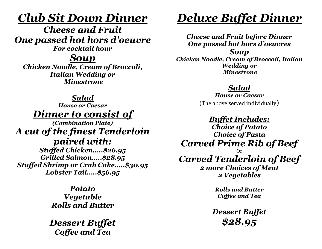## *Club Sit Down Dinner*

*Cheese and Fruit One passed hot hors d'oeuvre*

*For cocktail hour*

*Soup*

*Chicken Noodle, Cream of Broccoli, Italian Wedding or Minestrone*

#### *Salad*

*House or Caesar Dinner to consist of* 

*(Combination Plate) A cut of the finest Tenderloin paired with: Stuffed Chicken…..\$26.95 Grilled Salmon…..\$28.95 Stuffed Shrimp or Crab Cake…..\$30.95 Lobster Tail…..\$56.95*

> *Potato Vegetable Rolls and Butter*

*Dessert Buffet Coffee and Tea*

## *Deluxe Buffet Dinner*

*Cheese and Fruit before Dinner One passed hot hors d'oeuvres Soup Chicken Noodle, Cream of Broccoli, Italian Wedding or Minestrone*

### *Salad*

*House or Caesar* (The above served individually)

*Buffet Includes:*

*Choice of Potato Choice of Pasta Carved Prime Rib of Beef* Or

## *Carved Tenderloin of Beef*

*2 more Choices of Meat 2 Vegetables*

> *Rolls and Butter Coffee and Tea*

*Dessert Buffet \$28.95*